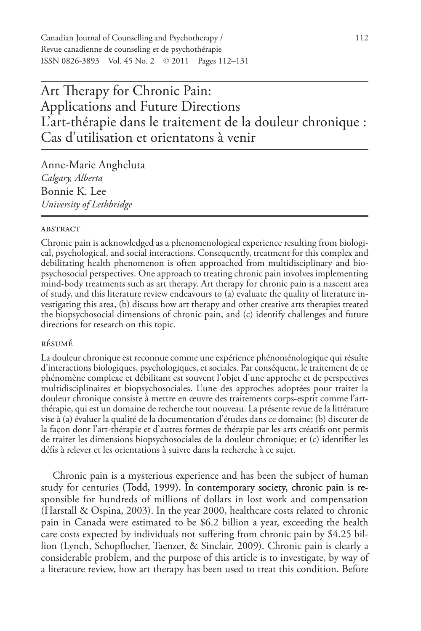# Art Therapy for Chronic Pain: Applications and Future Directions L'art-thérapie dans le traitement de la douleur chronique : Cas d'utilisation et orientatons à venir

Anne-Marie Angheluta *Calgary, Alberta* Bonnie K. Lee *University of Lethbridge*

# **ABSTRACT**

Chronic pain is acknowledged as a phenomenological experience resulting from biological, psychological, and social interactions. Consequently, treatment for this complex and debilitating health phenomenon is often approached from multidisciplinary and biopsychosocial perspectives. One approach to treating chronic pain involves implementing mind-body treatments such as art therapy. Art therapy for chronic pain is a nascent area of study, and this literature review endeavours to (a) evaluate the quality of literature investigating this area, (b) discuss how art therapy and other creative arts therapies treated the biopsychosocial dimensions of chronic pain, and (c) identify challenges and future directions for research on this topic.

# résumé

La douleur chronique est reconnue comme une expérience phénoménologique qui résulte d'interactions biologiques, psychologiques, et sociales. Par conséquent, le traitement de ce phénomène complexe et débilitant est souvent l'objet d'une approche et de perspectives multidisciplinaires et biopsychosociales. L'une des approches adoptées pour traiter la douleur chronique consiste à mettre en œuvre des traitements corps-esprit comme l'artthérapie, qui est un domaine de recherche tout nouveau. La présente revue de la littérature vise à (a) évaluer la qualité de la documentation d'études dans ce domaine; (b) discuter de la façon dont l'art-thérapie et d'autres formes de thérapie par les arts créatifs ont permis de traiter les dimensions biopsychosociales de la douleur chronique; et (c) identifier les défis à relever et les orientations à suivre dans la recherche à ce sujet.

Chronic pain is a mysterious experience and has been the subject of human study for centuries (Todd, 1999). In contemporary society, chronic pain is responsible for hundreds of millions of dollars in lost work and compensation (Harstall & Ospina, 2003). In the year 2000, healthcare costs related to chronic pain in Canada were estimated to be \$6.2 billion a year, exceeding the health care costs expected by individuals not suffering from chronic pain by \$4.25 billion (Lynch, Schopflocher, Taenzer, & Sinclair, 2009). Chronic pain is clearly a considerable problem, and the purpose of this article is to investigate, by way of a literature review, how art therapy has been used to treat this condition. Before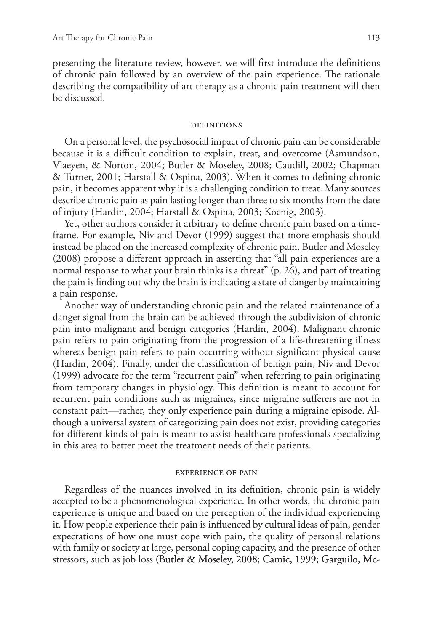presenting the literature review, however, we will first introduce the definitions of chronic pain followed by an overview of the pain experience. The rationale describing the compatibility of art therapy as a chronic pain treatment will then be discussed.

#### **DEFINITIONS**

On a personal level, the psychosocial impact of chronic pain can be considerable because it is a difficult condition to explain, treat, and overcome (Asmundson, Vlaeyen, & Norton, 2004; Butler & Moseley, 2008; Caudill, 2002; Chapman & Turner, 2001; Harstall & Ospina, 2003). When it comes to defining chronic pain, it becomes apparent why it is a challenging condition to treat. Many sources describe chronic pain as pain lasting longer than three to six months from the date of injury (Hardin, 2004; Harstall & Ospina, 2003; Koenig, 2003).

Yet, other authors consider it arbitrary to define chronic pain based on a timeframe. For example, Niv and Devor (1999) suggest that more emphasis should instead be placed on the increased complexity of chronic pain. Butler and Moseley (2008) propose a different approach in asserting that "all pain experiences are a normal response to what your brain thinks is a threat" (p. 26), and part of treating the pain is finding out why the brain is indicating a state of danger by maintaining a pain response.

Another way of understanding chronic pain and the related maintenance of a danger signal from the brain can be achieved through the subdivision of chronic pain into malignant and benign categories (Hardin, 2004). Malignant chronic pain refers to pain originating from the progression of a life-threatening illness whereas benign pain refers to pain occurring without significant physical cause (Hardin, 2004). Finally, under the classification of benign pain, Niv and Devor (1999) advocate for the term "recurrent pain" when referring to pain originating from temporary changes in physiology. This definition is meant to account for recurrent pain conditions such as migraines, since migraine sufferers are not in constant pain—rather, they only experience pain during a migraine episode. Although a universal system of categorizing pain does not exist, providing categories for different kinds of pain is meant to assist healthcare professionals specializing in this area to better meet the treatment needs of their patients.

#### experience of pain

Regardless of the nuances involved in its definition, chronic pain is widely accepted to be a phenomenological experience. In other words, the chronic pain experience is unique and based on the perception of the individual experiencing it. How people experience their pain is influenced by cultural ideas of pain, gender expectations of how one must cope with pain, the quality of personal relations with family or society at large, personal coping capacity, and the presence of other stressors, such as job loss (Butler & Moseley, 2008; Camic, 1999; Garguilo, Mc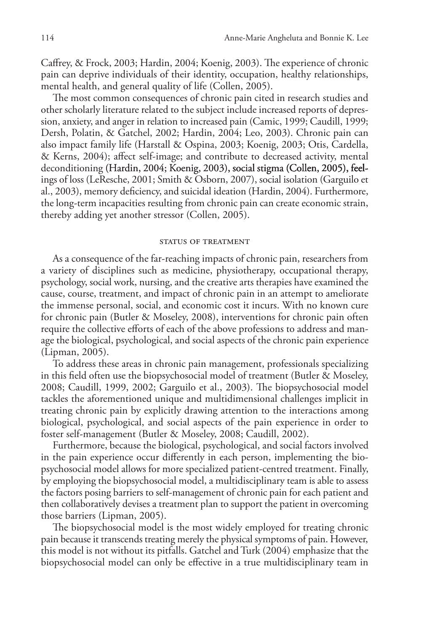Caffrey, & Frock, 2003; Hardin, 2004; Koenig, 2003). The experience of chronic pain can deprive individuals of their identity, occupation, healthy relationships, mental health, and general quality of life (Collen, 2005).

The most common consequences of chronic pain cited in research studies and other scholarly literature related to the subject include increased reports of depression, anxiety, and anger in relation to increased pain (Camic, 1999; Caudill, 1999; Dersh, Polatin, & Gatchel, 2002; Hardin, 2004; Leo, 2003). Chronic pain can also impact family life (Harstall & Ospina, 2003; Koenig, 2003; Otis, Cardella, & Kerns, 2004); affect self-image; and contribute to decreased activity, mental deconditioning (Hardin, 2004; Koenig, 2003), social stigma (Collen, 2005), feelings of loss (LeResche, 2001; Smith & Osborn, 2007), social isolation (Garguilo et al., 2003), memory deficiency, and suicidal ideation (Hardin, 2004). Furthermore, the long-term incapacities resulting from chronic pain can create economic strain, thereby adding yet another stressor (Collen, 2005).

# STATUS OF TREATMENT

As a consequence of the far-reaching impacts of chronic pain, researchers from a variety of disciplines such as medicine, physiotherapy, occupational therapy, psychology, social work, nursing, and the creative arts therapies have examined the cause, course, treatment, and impact of chronic pain in an attempt to ameliorate the immense personal, social, and economic cost it incurs. With no known cure for chronic pain (Butler & Moseley, 2008), interventions for chronic pain often require the collective efforts of each of the above professions to address and manage the biological, psychological, and social aspects of the chronic pain experience (Lipman, 2005).

To address these areas in chronic pain management, professionals specializing in this field often use the biopsychosocial model of treatment (Butler & Moseley, 2008; Caudill, 1999, 2002; Garguilo et al., 2003). The biopsychosocial model tackles the aforementioned unique and multidimensional challenges implicit in treating chronic pain by explicitly drawing attention to the interactions among biological, psychological, and social aspects of the pain experience in order to foster self-management (Butler & Moseley, 2008; Caudill, 2002).

Furthermore, because the biological, psychological, and social factors involved in the pain experience occur differently in each person, implementing the biopsychosocial model allows for more specialized patient-centred treatment. Finally, by employing the biopsychosocial model, a multidisciplinary team is able to assess the factors posing barriers to self-management of chronic pain for each patient and then collaboratively devises a treatment plan to support the patient in overcoming those barriers (Lipman, 2005).

The biopsychosocial model is the most widely employed for treating chronic pain because it transcends treating merely the physical symptoms of pain. However, this model is not without its pitfalls. Gatchel and Turk (2004) emphasize that the biopsychosocial model can only be effective in a true multidisciplinary team in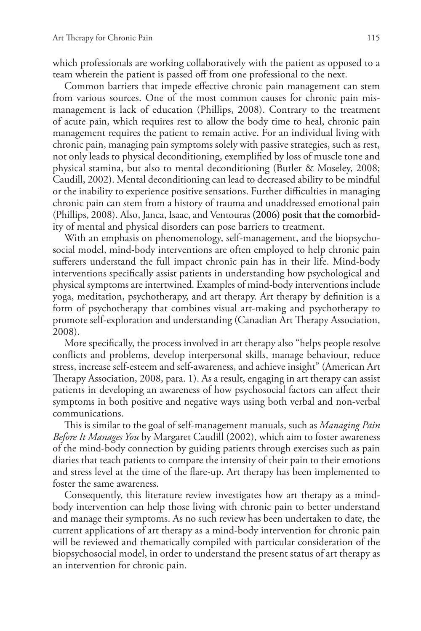which professionals are working collaboratively with the patient as opposed to a team wherein the patient is passed off from one professional to the next.

Common barriers that impede effective chronic pain management can stem from various sources. One of the most common causes for chronic pain mismanagement is lack of education (Phillips, 2008). Contrary to the treatment of acute pain, which requires rest to allow the body time to heal, chronic pain management requires the patient to remain active. For an individual living with chronic pain, managing pain symptoms solely with passive strategies, such as rest, not only leads to physical deconditioning, exemplified by loss of muscle tone and physical stamina, but also to mental deconditioning (Butler & Moseley, 2008; Caudill, 2002). Mental deconditioning can lead to decreased ability to be mindful or the inability to experience positive sensations. Further difficulties in managing chronic pain can stem from a history of trauma and unaddressed emotional pain (Phillips, 2008). Also, Janca, Isaac, and Ventouras (2006) posit that the comorbidity of mental and physical disorders can pose barriers to treatment.

With an emphasis on phenomenology, self-management, and the biopsychosocial model, mind-body interventions are often employed to help chronic pain sufferers understand the full impact chronic pain has in their life. Mind-body interventions specifically assist patients in understanding how psychological and physical symptoms are intertwined. Examples of mind-body interventions include yoga, meditation, psychotherapy, and art therapy. Art therapy by definition is a form of psychotherapy that combines visual art-making and psychotherapy to promote self-exploration and understanding (Canadian Art Therapy Association, 2008).

More specifically, the process involved in art therapy also "helps people resolve conflicts and problems, develop interpersonal skills, manage behaviour, reduce stress, increase self-esteem and self-awareness, and achieve insight" (American Art Therapy Association, 2008, para. 1). As a result, engaging in art therapy can assist patients in developing an awareness of how psychosocial factors can affect their symptoms in both positive and negative ways using both verbal and non-verbal communications.

This is similar to the goal of self-management manuals, such as *Managing Pain Before It Manages You* by Margaret Caudill (2002), which aim to foster awareness of the mind-body connection by guiding patients through exercises such as pain diaries that teach patients to compare the intensity of their pain to their emotions and stress level at the time of the flare-up. Art therapy has been implemented to foster the same awareness.

Consequently, this literature review investigates how art therapy as a mindbody intervention can help those living with chronic pain to better understand and manage their symptoms. As no such review has been undertaken to date, the current applications of art therapy as a mind-body intervention for chronic pain will be reviewed and thematically compiled with particular consideration of the biopsychosocial model, in order to understand the present status of art therapy as an intervention for chronic pain.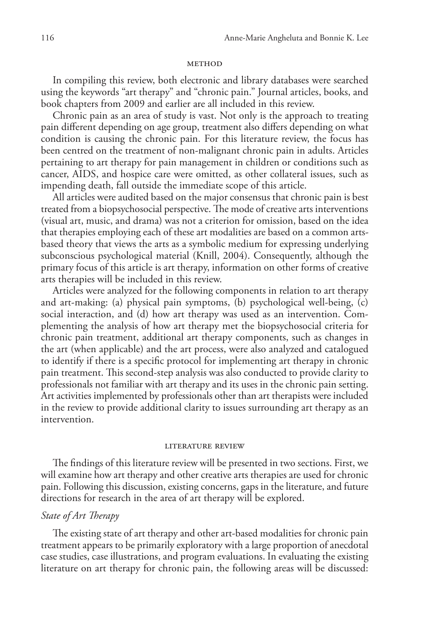## **METHOD**

In compiling this review, both electronic and library databases were searched using the keywords "art therapy" and "chronic pain." Journal articles, books, and book chapters from 2009 and earlier are all included in this review.

Chronic pain as an area of study is vast. Not only is the approach to treating pain different depending on age group, treatment also differs depending on what condition is causing the chronic pain. For this literature review, the focus has been centred on the treatment of non-malignant chronic pain in adults. Articles pertaining to art therapy for pain management in children or conditions such as cancer, AIDS, and hospice care were omitted, as other collateral issues, such as impending death, fall outside the immediate scope of this article.

All articles were audited based on the major consensus that chronic pain is best treated from a biopsychosocial perspective. The mode of creative arts interventions (visual art, music, and drama) was not a criterion for omission, based on the idea that therapies employing each of these art modalities are based on a common artsbased theory that views the arts as a symbolic medium for expressing underlying subconscious psychological material (Knill, 2004). Consequently, although the primary focus of this article is art therapy, information on other forms of creative arts therapies will be included in this review.

Articles were analyzed for the following components in relation to art therapy and art-making: (a) physical pain symptoms, (b) psychological well-being, (c) social interaction, and (d) how art therapy was used as an intervention. Complementing the analysis of how art therapy met the biopsychosocial criteria for chronic pain treatment, additional art therapy components, such as changes in the art (when applicable) and the art process, were also analyzed and catalogued to identify if there is a specific protocol for implementing art therapy in chronic pain treatment. This second-step analysis was also conducted to provide clarity to professionals not familiar with art therapy and its uses in the chronic pain setting. Art activities implemented by professionals other than art therapists were included in the review to provide additional clarity to issues surrounding art therapy as an intervention.

## literature review

The findings of this literature review will be presented in two sections. First, we will examine how art therapy and other creative arts therapies are used for chronic pain. Following this discussion, existing concerns, gaps in the literature, and future directions for research in the area of art therapy will be explored.

# *State of Art Therapy*

The existing state of art therapy and other art-based modalities for chronic pain treatment appears to be primarily exploratory with a large proportion of anecdotal case studies, case illustrations, and program evaluations. In evaluating the existing literature on art therapy for chronic pain, the following areas will be discussed: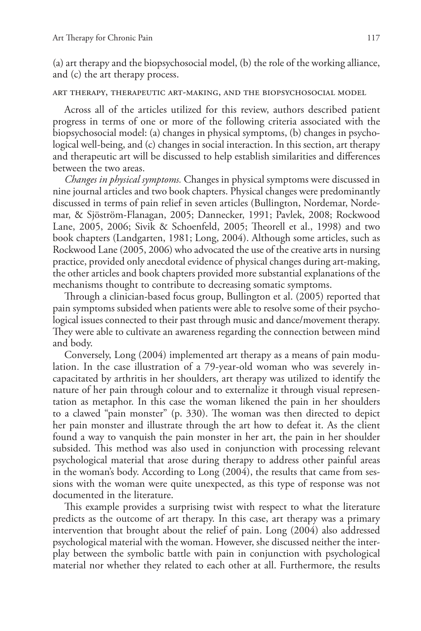(a) art therapy and the biopsychosocial model, (b) the role of the working alliance, and (c) the art therapy process.

# art therapy, therapeutic art-making, and the biopsychosocial model

Across all of the articles utilized for this review, authors described patient progress in terms of one or more of the following criteria associated with the biopsychosocial model: (a) changes in physical symptoms, (b) changes in psychological well-being, and (c) changes in social interaction. In this section, art therapy and therapeutic art will be discussed to help establish similarities and differences between the two areas.

*Changes in physical symptoms.* Changes in physical symptoms were discussed in nine journal articles and two book chapters. Physical changes were predominantly discussed in terms of pain relief in seven articles (Bullington, Nordemar, Nordemar, & Sjöström-Flanagan, 2005; Dannecker, 1991; Pavlek, 2008; Rockwood Lane, 2005, 2006; Sivik & Schoenfeld, 2005; Theorell et al., 1998) and two book chapters (Landgarten, 1981; Long, 2004). Although some articles, such as Rockwood Lane (2005, 2006) who advocated the use of the creative arts in nursing practice, provided only anecdotal evidence of physical changes during art-making, the other articles and book chapters provided more substantial explanations of the mechanisms thought to contribute to decreasing somatic symptoms.

Through a clinician-based focus group, Bullington et al. (2005) reported that pain symptoms subsided when patients were able to resolve some of their psychological issues connected to their past through music and dance/movement therapy. They were able to cultivate an awareness regarding the connection between mind and body.

Conversely, Long (2004) implemented art therapy as a means of pain modulation. In the case illustration of a 79-year-old woman who was severely incapacitated by arthritis in her shoulders, art therapy was utilized to identify the nature of her pain through colour and to externalize it through visual representation as metaphor. In this case the woman likened the pain in her shoulders to a clawed "pain monster" (p. 330). The woman was then directed to depict her pain monster and illustrate through the art how to defeat it. As the client found a way to vanquish the pain monster in her art, the pain in her shoulder subsided. This method was also used in conjunction with processing relevant psychological material that arose during therapy to address other painful areas in the woman's body. According to Long (2004), the results that came from sessions with the woman were quite unexpected, as this type of response was not documented in the literature.

This example provides a surprising twist with respect to what the literature predicts as the outcome of art therapy. In this case, art therapy was a primary intervention that brought about the relief of pain. Long (2004) also addressed psychological material with the woman. However, she discussed neither the interplay between the symbolic battle with pain in conjunction with psychological material nor whether they related to each other at all. Furthermore, the results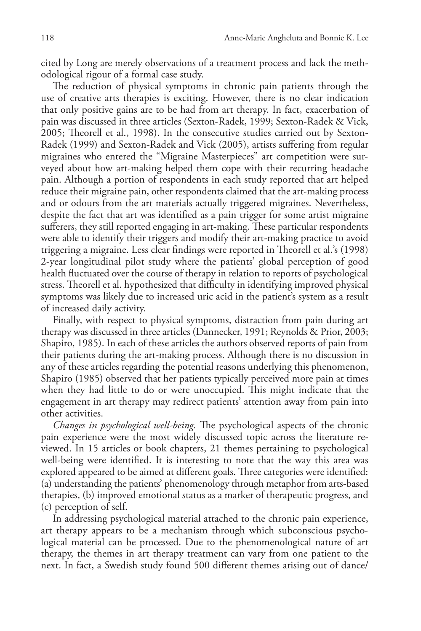cited by Long are merely observations of a treatment process and lack the methodological rigour of a formal case study.

The reduction of physical symptoms in chronic pain patients through the use of creative arts therapies is exciting. However, there is no clear indication that only positive gains are to be had from art therapy. In fact, exacerbation of pain was discussed in three articles (Sexton-Radek, 1999; Sexton-Radek & Vick, 2005; Theorell et al., 1998). In the consecutive studies carried out by Sexton-Radek (1999) and Sexton-Radek and Vick (2005), artists suffering from regular migraines who entered the "Migraine Masterpieces" art competition were surveyed about how art-making helped them cope with their recurring headache pain. Although a portion of respondents in each study reported that art helped reduce their migraine pain, other respondents claimed that the art-making process and or odours from the art materials actually triggered migraines. Nevertheless, despite the fact that art was identified as a pain trigger for some artist migraine sufferers, they still reported engaging in art-making. These particular respondents were able to identify their triggers and modify their art-making practice to avoid triggering a migraine. Less clear findings were reported in Theorell et al.'s (1998) 2-year longitudinal pilot study where the patients' global perception of good health fluctuated over the course of therapy in relation to reports of psychological stress. Theorell et al. hypothesized that difficulty in identifying improved physical symptoms was likely due to increased uric acid in the patient's system as a result of increased daily activity.

Finally, with respect to physical symptoms, distraction from pain during art therapy was discussed in three articles (Dannecker, 1991; Reynolds & Prior, 2003; Shapiro, 1985). In each of these articles the authors observed reports of pain from their patients during the art-making process. Although there is no discussion in any of these articles regarding the potential reasons underlying this phenomenon, Shapiro (1985) observed that her patients typically perceived more pain at times when they had little to do or were unoccupied. This might indicate that the engagement in art therapy may redirect patients' attention away from pain into other activities.

*Changes in psychological well-being.* The psychological aspects of the chronic pain experience were the most widely discussed topic across the literature reviewed. In 15 articles or book chapters, 21 themes pertaining to psychological well-being were identified. It is interesting to note that the way this area was explored appeared to be aimed at different goals. Three categories were identified: (a) understanding the patients' phenomenology through metaphor from arts-based therapies, (b) improved emotional status as a marker of therapeutic progress, and (c) perception of self.

In addressing psychological material attached to the chronic pain experience, art therapy appears to be a mechanism through which subconscious psychological material can be processed. Due to the phenomenological nature of art therapy, the themes in art therapy treatment can vary from one patient to the next. In fact, a Swedish study found 500 different themes arising out of dance/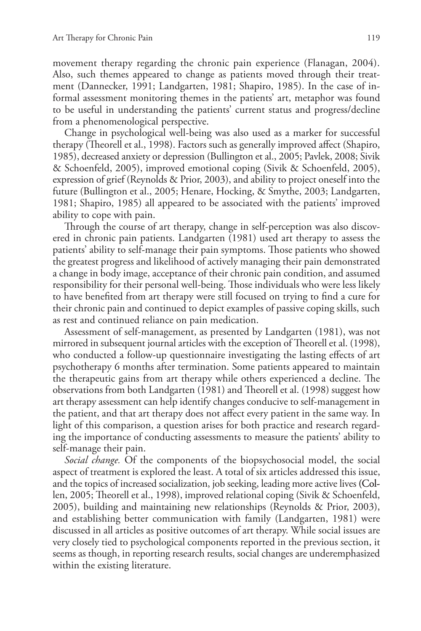movement therapy regarding the chronic pain experience (Flanagan, 2004). Also, such themes appeared to change as patients moved through their treatment (Dannecker, 1991; Landgarten, 1981; Shapiro, 1985). In the case of informal assessment monitoring themes in the patients' art, metaphor was found to be useful in understanding the patients' current status and progress/decline from a phenomenological perspective.

Change in psychological well-being was also used as a marker for successful therapy (Theorell et al., 1998). Factors such as generally improved affect (Shapiro, 1985), decreased anxiety or depression (Bullington et al., 2005; Pavlek, 2008; Sivik & Schoenfeld, 2005), improved emotional coping (Sivik & Schoenfeld, 2005), expression of grief (Reynolds & Prior, 2003), and ability to project oneself into the future (Bullington et al., 2005; Henare, Hocking, & Smythe, 2003; Landgarten, 1981; Shapiro, 1985) all appeared to be associated with the patients' improved ability to cope with pain.

Through the course of art therapy, change in self-perception was also discovered in chronic pain patients. Landgarten (1981) used art therapy to assess the patients' ability to self-manage their pain symptoms. Those patients who showed the greatest progress and likelihood of actively managing their pain demonstrated a change in body image, acceptance of their chronic pain condition, and assumed responsibility for their personal well-being. Those individuals who were less likely to have benefited from art therapy were still focused on trying to find a cure for their chronic pain and continued to depict examples of passive coping skills, such as rest and continued reliance on pain medication.

Assessment of self-management, as presented by Landgarten (1981), was not mirrored in subsequent journal articles with the exception of Theorell et al. (1998), who conducted a follow-up questionnaire investigating the lasting effects of art psychotherapy 6 months after termination. Some patients appeared to maintain the therapeutic gains from art therapy while others experienced a decline. The observations from both Landgarten (1981) and Theorell et al. (1998) suggest how art therapy assessment can help identify changes conducive to self-management in the patient, and that art therapy does not affect every patient in the same way. In light of this comparison, a question arises for both practice and research regarding the importance of conducting assessments to measure the patients' ability to self-manage their pain.

*Social change.* Of the components of the biopsychosocial model, the social aspect of treatment is explored the least. A total of six articles addressed this issue, and the topics of increased socialization, job seeking, leading more active lives (Collen, 2005; Theorell et al., 1998), improved relational coping (Sivik & Schoenfeld, 2005), building and maintaining new relationships (Reynolds & Prior, 2003), and establishing better communication with family (Landgarten, 1981) were discussed in all articles as positive outcomes of art therapy. While social issues are very closely tied to psychological components reported in the previous section, it seems as though, in reporting research results, social changes are underemphasized within the existing literature.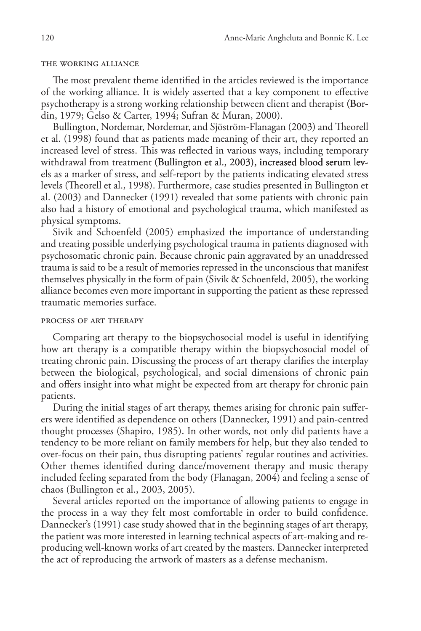## the working alliance

The most prevalent theme identified in the articles reviewed is the importance of the working alliance. It is widely asserted that a key component to effective psychotherapy is a strong working relationship between client and therapist (Bordin, 1979; Gelso & Carter, 1994; Sufran & Muran, 2000).

Bullington, Nordemar, Nordemar, and Sjöström-Flanagan (2003) and Theorell et al. (1998) found that as patients made meaning of their art, they reported an increased level of stress. This was reflected in various ways, including temporary withdrawal from treatment (Bullington et al., 2003), increased blood serum levels as a marker of stress, and self-report by the patients indicating elevated stress levels (Theorell et al., 1998). Furthermore, case studies presented in Bullington et al. (2003) and Dannecker (1991) revealed that some patients with chronic pain also had a history of emotional and psychological trauma, which manifested as physical symptoms.

Sivik and Schoenfeld (2005) emphasized the importance of understanding and treating possible underlying psychological trauma in patients diagnosed with psychosomatic chronic pain. Because chronic pain aggravated by an unaddressed trauma is said to be a result of memories repressed in the unconscious that manifest themselves physically in the form of pain (Sivik & Schoenfeld, 2005), the working alliance becomes even more important in supporting the patient as these repressed traumatic memories surface.

## process of art therapy

Comparing art therapy to the biopsychosocial model is useful in identifying how art therapy is a compatible therapy within the biopsychosocial model of treating chronic pain. Discussing the process of art therapy clarifies the interplay between the biological, psychological, and social dimensions of chronic pain and offers insight into what might be expected from art therapy for chronic pain patients.

During the initial stages of art therapy, themes arising for chronic pain sufferers were identified as dependence on others (Dannecker, 1991) and pain-centred thought processes (Shapiro, 1985). In other words, not only did patients have a tendency to be more reliant on family members for help, but they also tended to over-focus on their pain, thus disrupting patients' regular routines and activities. Other themes identified during dance/movement therapy and music therapy included feeling separated from the body (Flanagan, 2004) and feeling a sense of chaos (Bullington et al., 2003, 2005).

Several articles reported on the importance of allowing patients to engage in the process in a way they felt most comfortable in order to build confidence. Dannecker's (1991) case study showed that in the beginning stages of art therapy, the patient was more interested in learning technical aspects of art-making and reproducing well-known works of art created by the masters. Dannecker interpreted the act of reproducing the artwork of masters as a defense mechanism.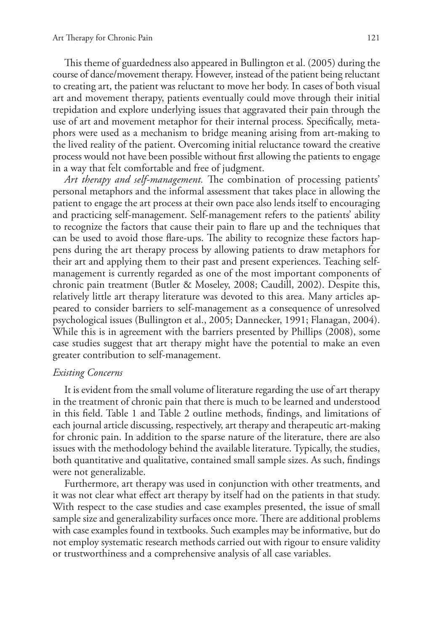This theme of guardedness also appeared in Bullington et al. (2005) during the course of dance/movement therapy. However, instead of the patient being reluctant to creating art, the patient was reluctant to move her body. In cases of both visual art and movement therapy, patients eventually could move through their initial trepidation and explore underlying issues that aggravated their pain through the use of art and movement metaphor for their internal process. Specifically, metaphors were used as a mechanism to bridge meaning arising from art-making to the lived reality of the patient. Overcoming initial reluctance toward the creative process would not have been possible without first allowing the patients to engage in a way that felt comfortable and free of judgment.

*Art therapy and self-management.* The combination of processing patients' personal metaphors and the informal assessment that takes place in allowing the patient to engage the art process at their own pace also lends itself to encouraging and practicing self-management. Self-management refers to the patients' ability to recognize the factors that cause their pain to flare up and the techniques that can be used to avoid those flare-ups. The ability to recognize these factors happens during the art therapy process by allowing patients to draw metaphors for their art and applying them to their past and present experiences. Teaching selfmanagement is currently regarded as one of the most important components of chronic pain treatment (Butler & Moseley, 2008; Caudill, 2002). Despite this, relatively little art therapy literature was devoted to this area. Many articles appeared to consider barriers to self-management as a consequence of unresolved psychological issues (Bullington et al., 2005; Dannecker, 1991; Flanagan, 2004). While this is in agreement with the barriers presented by Phillips (2008), some case studies suggest that art therapy might have the potential to make an even greater contribution to self-management.

# *Existing Concerns*

It is evident from the small volume of literature regarding the use of art therapy in the treatment of chronic pain that there is much to be learned and understood in this field. Table 1 and Table 2 outline methods, findings, and limitations of each journal article discussing, respectively, art therapy and therapeutic art-making for chronic pain. In addition to the sparse nature of the literature, there are also issues with the methodology behind the available literature. Typically, the studies, both quantitative and qualitative, contained small sample sizes. As such, findings were not generalizable.

Furthermore, art therapy was used in conjunction with other treatments, and it was not clear what effect art therapy by itself had on the patients in that study. With respect to the case studies and case examples presented, the issue of small sample size and generalizability surfaces once more. There are additional problems with case examples found in textbooks. Such examples may be informative, but do not employ systematic research methods carried out with rigour to ensure validity or trustworthiness and a comprehensive analysis of all case variables.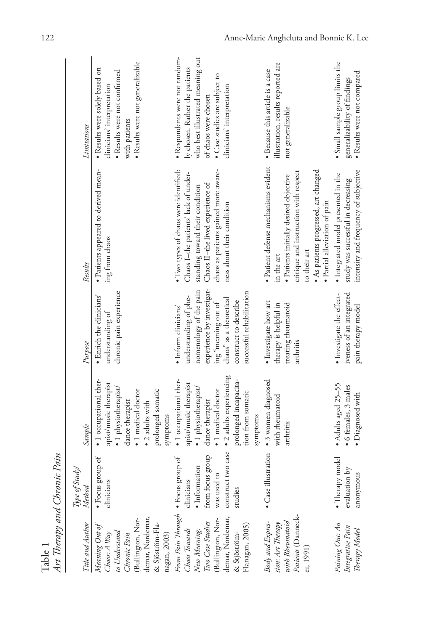| Title and Author                                                                                                                                   | Type of Study/<br>Method                                                                                                         | Sample                                                                                                                                                                                                | Purpose                                                                                                                                                                                                      | Results                                                                                                                                                                                                                         | Limitations                                                                                                                                                                                 |
|----------------------------------------------------------------------------------------------------------------------------------------------------|----------------------------------------------------------------------------------------------------------------------------------|-------------------------------------------------------------------------------------------------------------------------------------------------------------------------------------------------------|--------------------------------------------------------------------------------------------------------------------------------------------------------------------------------------------------------------|---------------------------------------------------------------------------------------------------------------------------------------------------------------------------------------------------------------------------------|---------------------------------------------------------------------------------------------------------------------------------------------------------------------------------------------|
| (Bullington, Nor-<br>demar, Nordemar,<br>& Sjöström-Fla-<br>Meaning Out of<br>to Understand<br>Chronic Pain<br>Chaos: A Way<br>nagan, 2003)        | $\bullet$ Focus group of clinicians                                                                                              | • 1 occupational ther-<br>apist/music therapist<br>· 1 physiotherapist/<br>• 1 medical doctor<br>prolonged somatic<br>dance therapist<br>$\bullet$ 2 adults with<br>symptoms                          | chronic pain experience<br>· Enrich the clinicians'<br>understanding of                                                                                                                                      | · Patients appeared to derived mean-<br>ing from chaos                                                                                                                                                                          | · Results were not generalizable<br>· Results were solely based on<br>· Results were not confirmed<br>clinicians' interpretation<br>with patients                                           |
| From Pain Through<br>Chaos Towards<br>(Bullington, Nor-<br>demar, Nordemar,<br>New Meaning:<br>Two Case Studies<br>Flanagan, 2005)<br>& Stjöström- | construct two case<br>from focus group<br>$\bullet$ Focus group of clinicians<br>$\bullet$ Information<br>was used to<br>studies | · 2 adults experiencing<br>· 1 occupational ther-<br>prolonged incapacita-<br>apist/music therapist<br>· 1 physiotherapist/<br>· 1 medical doctor<br>tion from somatic<br>dance therapist<br>symptoms | experience by investigat-<br>nomenology of the pain<br>successful rehabilitation<br>understanding of phe-<br>chaos" as a theoretical<br>construct to describe<br>ing "meaning out of<br>· Inform clinicians' | · Two types of chaos were identified:<br>chaos as patients gained more aware-<br>Chaos I-the patients' lack of under-<br>Chaos II-the lived experience of<br>standing toward their condition<br>ness about their condition      | · Respondents were not random-<br>who best illustrated meaning out<br>ly chosen. Rather the patients<br>· Case studies are subject to<br>clinicians' interpretation<br>of chaos were chosen |
| Patients (Danneck-<br>sion: Art Therapy<br>with Rheumatoid<br>Body and Expres-<br>er, 1991)                                                        | · Case illustration                                                                                                              | · 3 women diagnosed<br>with rheumatoid<br>arthritis                                                                                                                                                   | · Investigate how art<br>therapy is helpful in<br>treating rheumatoid<br>arthritis                                                                                                                           | · Patient defense mechanisms evident<br>· As patients progressed, art changed<br>critique and instruction with respect<br>· Patients initially desired objective<br>· Partial alleviation of pain<br>to their art<br>in the art | illustration, results reported are<br>· Because this article is a case<br>not generalizable                                                                                                 |
| Paining Out: An<br>Integrative Pain<br>Therapy Model                                                                                               | • Therapy model<br>evaluation by<br>anonymous                                                                                    | • Adults aged 25-55<br>6 females, 3 males<br>· Diagnosed with                                                                                                                                         | iveness of an integrated<br>· Investigate the effect-<br>pain therapy model                                                                                                                                  | intensity and frequency of subjective<br>• Integrated model presented in the<br>study was successful in decreasing                                                                                                              | · Small sample group limits the<br>· Results were not compared<br>generalizability of findings                                                                                              |

Table 1<br>Art Therapy and Chronic Pain *Art Therapy and Chronic Pain*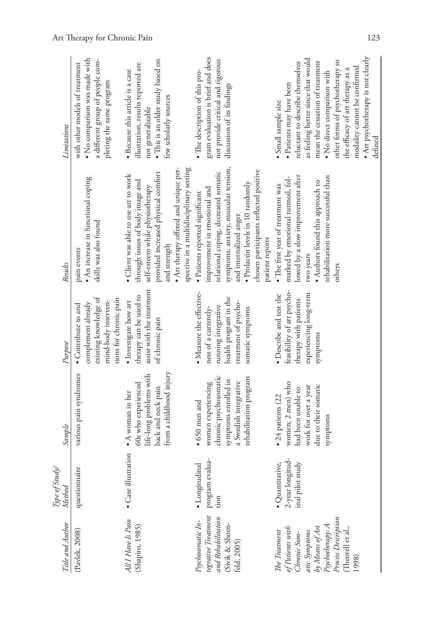| Title and Author                                                                                                                                               | Type of Study/<br>Method                                | Sample                                                                                                                                          | Purpose                                                                                                                                      | Results                                                                                                                                                                                                                                                                     | Limitations                                                                                                                                                                                                                                                                                                                                         |
|----------------------------------------------------------------------------------------------------------------------------------------------------------------|---------------------------------------------------------|-------------------------------------------------------------------------------------------------------------------------------------------------|----------------------------------------------------------------------------------------------------------------------------------------------|-----------------------------------------------------------------------------------------------------------------------------------------------------------------------------------------------------------------------------------------------------------------------------|-----------------------------------------------------------------------------------------------------------------------------------------------------------------------------------------------------------------------------------------------------------------------------------------------------------------------------------------------------|
| (Pavlek, 2008)                                                                                                                                                 | questionnaire                                           | various pain syndromes                                                                                                                          | existing knowledge of<br>tions for chronic pain<br>mind-body interven-<br>complement already<br>• Contribute to and                          | • An increase in functional coping<br>skills was also found<br>pain events                                                                                                                                                                                                  | · No comparison was made with<br>a different group of people com-<br>with other models of treatment<br>pleting the same program                                                                                                                                                                                                                     |
| All I Have Is Pain<br>(Shapiro, 1985)                                                                                                                          | illustration<br>• Case                                  | from a childhood injury<br>life-long problems with<br>60s who experienced<br>back and neck pain<br>$\bullet$ A woman in her                     | assist with the treatment<br>therapy can be used to<br>· Investigate how art<br>of chronic pain                                              | spective in a multidisciplinary setting<br>. Art therapy offered and unique per-<br>provided increased physical comfort<br>· Client was able to use art to work<br>through issues of body image and<br>self-esteem while physiotherapy<br>and strength                      | . This is an older study based on<br>illustration, results reported are<br>· Because this article is a case<br>few scholarly sources<br>not generalizable                                                                                                                                                                                           |
| tegrative Treatment<br>and Rehabilitation<br>Psychosomatic In-<br>(Sivik & Shoen-<br>feld, 2005)                                                               | program evalua-<br>· Longitudinal<br>tion               | chronic psychosomatic<br>rehabilitation program<br>symptoms enrolled in<br>a Swedish integrative<br>women experiencing<br>$\bullet$ 650 men and | · Measure the effective-<br>health program in the<br>treatment of psycho-<br>running integrative<br>ness of a currently-<br>somatic symptoms | symptoms, anxiety, muscular tension,<br>chosen participants reflected positive<br>relational coping, decreased somatic<br>· Prolactin levels in 10 randomly<br>improvement in emotional and<br>· Patients reported significant<br>and internalized anger<br>patient reports | gram evaluation is brief and does<br>not provide critical and rigorous<br>· The description of this pro-<br>discussion of its findings                                                                                                                                                                                                              |
| Process Description<br>atic Symptoms<br>by Means of Art<br>Psychotherapy: A<br>of Patients with<br>Chronic Som-<br>(Theorell et al.,<br>The Treatment<br>1998) | 2-year longitud-<br>inal pilot study<br>· Quantitative, | women; 2 men) who<br>due to their somatic<br>work for over a year<br>had been unable to<br>$\bullet$ 24 patients (22<br>symptoms                | feasibility of art psycho-<br>experiencing long-term<br>• Describe and test the<br>therapy with patients<br>symptoms                         | lowed by a slow improvement after<br>rehabilitation more successful than<br>marked by emotional turmoil, fol-<br>· Authors found this approach to<br>• The first year of treatment was<br>two years<br>others                                                               | • Art psychotherapy is not clearly<br>as feeling better since that would<br>other forms of psychotherapy so<br>mean the cessation of treatment<br>reluctant to describe themselves<br>modality cannot be confirmed<br>the efficacy of art therapy as a<br>· No direct comparison with<br>· Patients may have been<br>· Small sample size<br>defined |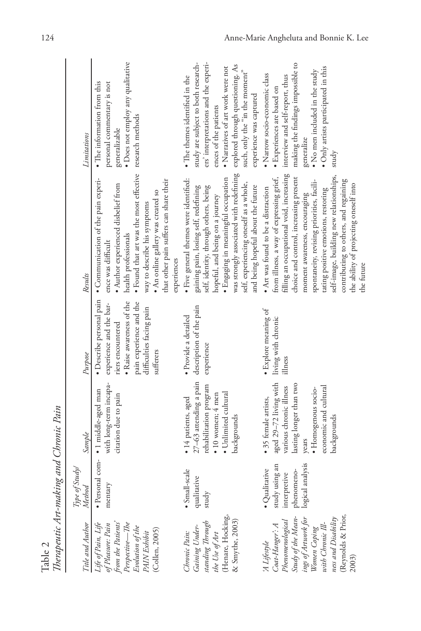| mm 1 medicine mun Samurante en mandar                                                                                                                                                     |                                                                                   |                                                                                                                                                                              |                                                                                                                                                                          |                                                                                                                                                                                                                                                                                                                                                                                                                                        |                                                                                                                                                                                                                                                                              |
|-------------------------------------------------------------------------------------------------------------------------------------------------------------------------------------------|-----------------------------------------------------------------------------------|------------------------------------------------------------------------------------------------------------------------------------------------------------------------------|--------------------------------------------------------------------------------------------------------------------------------------------------------------------------|----------------------------------------------------------------------------------------------------------------------------------------------------------------------------------------------------------------------------------------------------------------------------------------------------------------------------------------------------------------------------------------------------------------------------------------|------------------------------------------------------------------------------------------------------------------------------------------------------------------------------------------------------------------------------------------------------------------------------|
| Title and Author                                                                                                                                                                          | Type of Study/<br><b>Method</b>                                                   | Sample                                                                                                                                                                       | Purpose                                                                                                                                                                  | Results                                                                                                                                                                                                                                                                                                                                                                                                                                | Limitations                                                                                                                                                                                                                                                                  |
| Life of Pain, Life<br>of Pleasure: Pain<br>from the Patients'<br>Perspective—The<br>Evolution of the<br>PAIN Exhibit<br>(Collen, 2005)                                                    | · Personal com-<br>mentary                                                        | with long-term incapa-<br>· 1 middle-aged man<br>citation due to pain                                                                                                        | · Describe personal pain<br>· Raise awareness of the<br>pain experience and the<br>experience and the bar-<br>difficulties facing pain<br>riers encountered<br>sufferers | • Found that art was the most effective research methods<br>· Communication of the pain experi-<br>that other pain suffers can share their<br>· Author experienced disbelief from<br>. An online gallery was created so<br>way to describe his symptoms<br>health professionals<br>ence was difficult<br>experiences                                                                                                                   | · Does not employ any qualitative<br>• The information from this<br>personal commentary is not<br>generalizable                                                                                                                                                              |
| (Henare, Hocking<br>& Smythe, 2003)<br>Gaining Under-<br>standing Through<br>the Use of Art<br>Chronic Pain:                                                                              | · Small-scale<br>qualitative<br>study                                             | 27-63 attending a pain<br>rehabilitation program<br>· Unlimited cultural<br>$\bullet$ 10 women; 4 men<br>• 14 patients, aged<br>backgrounds                                  | description of the pain<br>· Provide a detailed<br>experience                                                                                                            | was strongly associated with redefining<br>· Engaging in meaningful occupation<br>· Five general themes were identified:<br>self, experiencing oneself as a whole,<br>self, identity, through others, being<br>and being hopeful about the future<br>gaining pain, losing self, redefining<br>hopeful, and being on a journey                                                                                                          | ers' interpretations and the experi-<br>study are subject to both research-<br>explored through questioning. As<br>· Narratives of art work were not<br>such, only the "in the moment"<br>• The themes identified in the<br>experience was captured<br>ences of the patients |
| 'A Lifestyle<br>Coat-Hanger': A<br>Phenomenological<br>Study of the Mean-<br>ing of Artwork for<br>Women Coping<br>With Chronic Ill-<br>(Reynolds & Prior<br>ness and Disability<br>2003) | study using an<br>interpretive<br>phenomeno-<br>logical analysis<br>· Qualitative | aged 29-72 living with<br>lasting longer than two<br>economic and cultural<br>various chronic illness<br>· Homogenous socio-<br>• 35 female artists,<br>backgrounds<br>years | · Explore meaning of<br>living with chronic<br>illness                                                                                                                   | filling an occupational void, increasing<br>choice and control, increasing present<br>self-image, building new relationships,<br>from illness, a way of expressing grief,<br>contributing to others, and regaining<br>spontaneity, revising priorities, facili-<br>the ability of projecting oneself into<br>• Art was found to be a distraction<br>tating positive emotions, restoring<br>moment awareness, encouraging<br>the future | making the findings impossible to<br>· Only artists participated in this<br>• No men included in the study<br>· Narrow socio-economic class<br>interview and self-report, thus<br>· Experiences are based on<br>generalize<br>study                                          |

Table 2<br>*Therapeutic Art-making and Chronic Pain Therapeutic Art-making and Chronic Pain*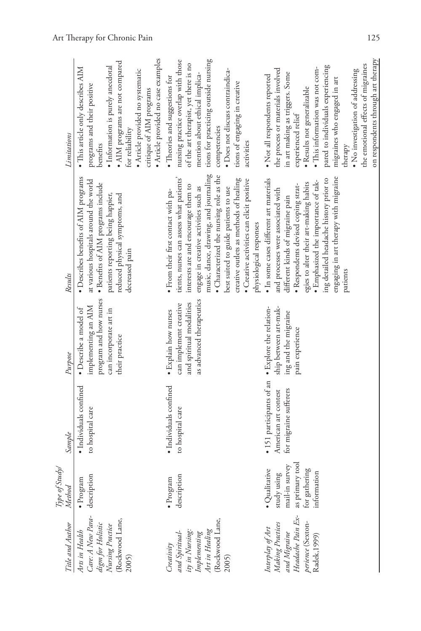| Title and Author                                                                                                                                                   | Type of Study/<br>Method                                                                                | Sample                                                                                             | Purpose                                                                                                            | Results                                                                                                                                                                                                                                                                                                                                                                                                       | Limitations                                                                                                                                                                                                                                                                                                                                                                                    |
|--------------------------------------------------------------------------------------------------------------------------------------------------------------------|---------------------------------------------------------------------------------------------------------|----------------------------------------------------------------------------------------------------|--------------------------------------------------------------------------------------------------------------------|---------------------------------------------------------------------------------------------------------------------------------------------------------------------------------------------------------------------------------------------------------------------------------------------------------------------------------------------------------------------------------------------------------------|------------------------------------------------------------------------------------------------------------------------------------------------------------------------------------------------------------------------------------------------------------------------------------------------------------------------------------------------------------------------------------------------|
| Arts in Health<br>Care: A New Para-<br>digm for Holistic<br>Nursing Practice<br>(Rockwood Lane,<br>2005)                                                           | description<br>$\bullet$ Program                                                                        | · Individuals confined<br>to hospital care                                                         | program and how nurses<br>implementing an AIM<br>· Describe a model of<br>can incorporate art in<br>their practice | · Describes benefits of AIM programs<br>at various hospitals around the world<br>· Benefits of AIM programs include<br>patients reporting being happier,<br>reduced physical symptoms, and<br>decreased pain                                                                                                                                                                                                  | · Article provided no case examples<br>• AIM programs are not compared<br>· Information is purely anecdotal<br>· This article only describes AIM<br>· Article provided no systematic<br>programs and their positive<br>critique of AIM programs<br>for reliability<br>benefits                                                                                                                 |
| (Rockwood Lane<br>and Spiritual-<br>ity in Nursing:<br>Implementing<br>Art in Healing<br>$\label{eq:1} \begin{array}{c} \textit{Creating} \\ \end{array}$<br>2005) | description<br>ogram<br>$\bullet$ Prc                                                                   | · Individuals confined<br>to hospital care                                                         | as advanced therapeutics<br>and spiritual modalities<br>can implement creative<br>• Explain how nurses             | music, dance, drawing, and journaling<br>• Characterized the nursing role as the<br>tients, nurses can assess what patients'<br>· Creative activities can elicit positive<br>creative outlets as methods of healing<br>interests are and encourage them to<br>engage in creative activities such as<br>best suited to guide patients to use<br>· From their first contact with pa-<br>physiological responses | nursing practice overlap with those<br>tions for practicing outside nursing<br>of the art therapist, yet there is no<br>· Does not discuss contraindica-<br>mention about ethical implica-<br>• Theories and suggestions for<br>tions of engaging in creative<br>competencies<br>activities                                                                                                    |
| Interplay of Art<br>Making Practices<br>and Migraine<br>Headache Pain Ex-<br>perience (Sexton-<br>Radek, 1999)                                                     | as primary tool<br>mail-in survey<br>for gathering<br>ualitative<br>rmation<br>study using<br>Ghi.<br>E | • 151 participants of an • Explore the relation-<br>for migraine sufferers<br>American art contest | ship between art-mak-<br>ing and the migraine<br>pain experience                                                   | engaging in art therapy with migraine<br>ing detailed headache history prior to<br>· In some cases different art materials<br>· Emphasized the importance of tak-<br>egies to alter their art-making habits<br>· Respondents devised coping strat-<br>and processes were associated with<br>different kinds of migraine pain<br>patients                                                                      | on respondents through art therapy<br>the emotional effects of migraines<br>pared to individuals experiencing<br>· This information was not com-<br>the process or materials involved<br>· No investigation of addressing<br>in art making as triggers. Some<br>· Not all respondents reported<br>migraines who engaged in art<br>· Results not generalizable<br>experienced relief<br>therapy |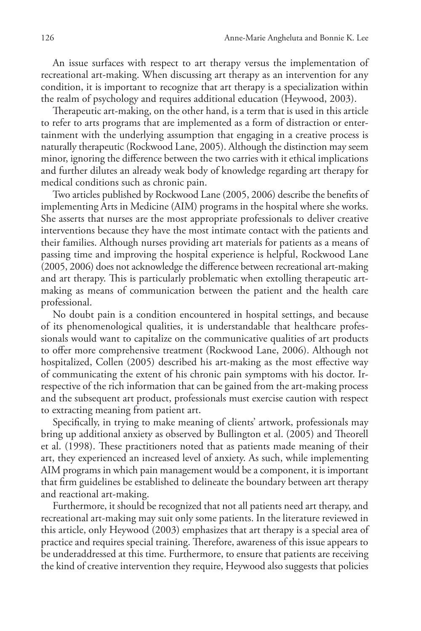An issue surfaces with respect to art therapy versus the implementation of recreational art-making. When discussing art therapy as an intervention for any condition, it is important to recognize that art therapy is a specialization within the realm of psychology and requires additional education (Heywood, 2003).

Therapeutic art-making, on the other hand, is a term that is used in this article to refer to arts programs that are implemented as a form of distraction or entertainment with the underlying assumption that engaging in a creative process is naturally therapeutic (Rockwood Lane, 2005). Although the distinction may seem minor, ignoring the difference between the two carries with it ethical implications and further dilutes an already weak body of knowledge regarding art therapy for medical conditions such as chronic pain.

Two articles published by Rockwood Lane (2005, 2006) describe the benefits of implementing Arts in Medicine (AIM) programs in the hospital where she works. She asserts that nurses are the most appropriate professionals to deliver creative interventions because they have the most intimate contact with the patients and their families. Although nurses providing art materials for patients as a means of passing time and improving the hospital experience is helpful, Rockwood Lane (2005, 2006) does not acknowledge the difference between recreational art-making and art therapy. This is particularly problematic when extolling therapeutic artmaking as means of communication between the patient and the health care professional.

No doubt pain is a condition encountered in hospital settings, and because of its phenomenological qualities, it is understandable that healthcare professionals would want to capitalize on the communicative qualities of art products to offer more comprehensive treatment (Rockwood Lane, 2006). Although not hospitalized, Collen (2005) described his art-making as the most effective way of communicating the extent of his chronic pain symptoms with his doctor. Irrespective of the rich information that can be gained from the art-making process and the subsequent art product, professionals must exercise caution with respect to extracting meaning from patient art.

Specifically, in trying to make meaning of clients' artwork, professionals may bring up additional anxiety as observed by Bullington et al. (2005) and Theorell et al. (1998). These practitioners noted that as patients made meaning of their art, they experienced an increased level of anxiety. As such, while implementing AIM programs in which pain management would be a component, it is important that firm guidelines be established to delineate the boundary between art therapy and reactional art-making.

Furthermore, it should be recognized that not all patients need art therapy, and recreational art-making may suit only some patients. In the literature reviewed in this article, only Heywood (2003) emphasizes that art therapy is a special area of practice and requires special training. Therefore, awareness of this issue appears to be underaddressed at this time. Furthermore, to ensure that patients are receiving the kind of creative intervention they require, Heywood also suggests that policies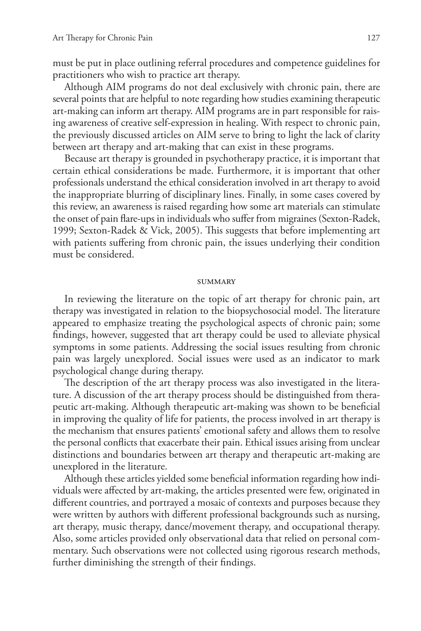must be put in place outlining referral procedures and competence guidelines for practitioners who wish to practice art therapy.

Although AIM programs do not deal exclusively with chronic pain, there are several points that are helpful to note regarding how studies examining therapeutic art-making can inform art therapy. AIM programs are in part responsible for raising awareness of creative self-expression in healing. With respect to chronic pain, the previously discussed articles on AIM serve to bring to light the lack of clarity between art therapy and art-making that can exist in these programs.

Because art therapy is grounded in psychotherapy practice, it is important that certain ethical considerations be made. Furthermore, it is important that other professionals understand the ethical consideration involved in art therapy to avoid the inappropriate blurring of disciplinary lines. Finally, in some cases covered by this review, an awareness is raised regarding how some art materials can stimulate the onset of pain flare-ups in individuals who suffer from migraines (Sexton-Radek, 1999; Sexton-Radek & Vick, 2005). This suggests that before implementing art with patients suffering from chronic pain, the issues underlying their condition must be considered.

#### **SUMMARY**

In reviewing the literature on the topic of art therapy for chronic pain, art therapy was investigated in relation to the biopsychosocial model. The literature appeared to emphasize treating the psychological aspects of chronic pain; some findings, however, suggested that art therapy could be used to alleviate physical symptoms in some patients. Addressing the social issues resulting from chronic pain was largely unexplored. Social issues were used as an indicator to mark psychological change during therapy.

The description of the art therapy process was also investigated in the literature. A discussion of the art therapy process should be distinguished from therapeutic art-making. Although therapeutic art-making was shown to be beneficial in improving the quality of life for patients, the process involved in art therapy is the mechanism that ensures patients' emotional safety and allows them to resolve the personal conflicts that exacerbate their pain. Ethical issues arising from unclear distinctions and boundaries between art therapy and therapeutic art-making are unexplored in the literature.

Although these articles yielded some beneficial information regarding how individuals were affected by art-making, the articles presented were few, originated in different countries, and portrayed a mosaic of contexts and purposes because they were written by authors with different professional backgrounds such as nursing, art therapy, music therapy, dance/movement therapy, and occupational therapy. Also, some articles provided only observational data that relied on personal commentary. Such observations were not collected using rigorous research methods, further diminishing the strength of their findings.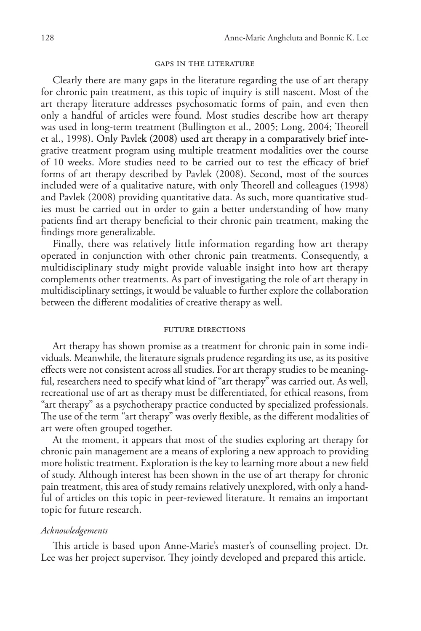# gaps in the literature

Clearly there are many gaps in the literature regarding the use of art therapy for chronic pain treatment, as this topic of inquiry is still nascent. Most of the art therapy literature addresses psychosomatic forms of pain, and even then only a handful of articles were found. Most studies describe how art therapy was used in long-term treatment (Bullington et al., 2005; Long, 2004; Theorell et al., 1998). Only Pavlek (2008) used art therapy in a comparatively brief integrative treatment program using multiple treatment modalities over the course of 10 weeks. More studies need to be carried out to test the efficacy of brief forms of art therapy described by Pavlek (2008). Second, most of the sources included were of a qualitative nature, with only Theorell and colleagues (1998) and Pavlek (2008) providing quantitative data. As such, more quantitative studies must be carried out in order to gain a better understanding of how many patients find art therapy beneficial to their chronic pain treatment, making the findings more generalizable.

Finally, there was relatively little information regarding how art therapy operated in conjunction with other chronic pain treatments. Consequently, a multidisciplinary study might provide valuable insight into how art therapy complements other treatments. As part of investigating the role of art therapy in multidisciplinary settings, it would be valuable to further explore the collaboration between the different modalities of creative therapy as well.

#### future directions

Art therapy has shown promise as a treatment for chronic pain in some individuals. Meanwhile, the literature signals prudence regarding its use, as its positive effects were not consistent across all studies. For art therapy studies to be meaningful, researchers need to specify what kind of "art therapy" was carried out. As well, recreational use of art as therapy must be differentiated, for ethical reasons, from "art therapy" as a psychotherapy practice conducted by specialized professionals. The use of the term "art therapy" was overly flexible, as the different modalities of art were often grouped together.

At the moment, it appears that most of the studies exploring art therapy for chronic pain management are a means of exploring a new approach to providing more holistic treatment. Exploration is the key to learning more about a new field of study. Although interest has been shown in the use of art therapy for chronic pain treatment, this area of study remains relatively unexplored, with only a handful of articles on this topic in peer-reviewed literature. It remains an important topic for future research.

## *Acknowledgements*

This article is based upon Anne-Marie's master's of counselling project. Dr. Lee was her project supervisor. They jointly developed and prepared this article.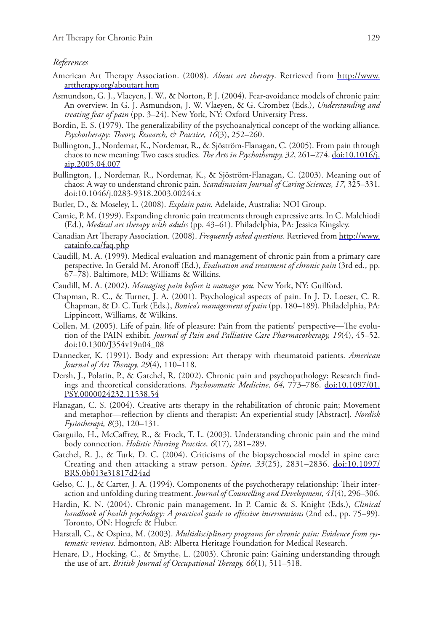## *References*

- American Art Therapy Association. (2008). *About art therapy*. Retrieved from http://www. arttherapy.org/aboutart.htm
- Asmundson, G. J., Vlaeyen, J. W., & Norton, P. J. (2004). Fear-avoidance models of chronic pain: An overview. In G. J. Asmundson, J. W. Vlaeyen, & G. Crombez (Eds.), *Understanding and treating fear of pain* (pp. 3–24). New York, NY: Oxford University Press.
- Bordin, E. S. (1979). The generalizability of the psychoanalytical concept of the working alliance. *Psychotherapy: Theory, Research, & Practice, 16*(3), 252–260.
- Bullington, J., Nordemar, K., Nordemar, R., & Sjöström-Flanagan, C. (2005). From pain through chaos to new meaning: Two cases studies. *The Arts in Psychotherapy, 32*, 261–274. doi:10.1016/j. aip.2005.04.007
- Bullington, J., Nordemar, R., Nordemar, K., & Sjöström-Flanagan, C. (2003). Meaning out of chaos: A way to understand chronic pain. *Scandinavian Journal of Caring Sciences, 17*, 325–331. doi:10.1046/j.0283-9318.2003.00244.x
- Butler, D., & Moseley, L. (2008). *Explain pain.* Adelaide, Australia: NOI Group.
- Camic, P. M. (1999). Expanding chronic pain treatments through expressive arts. In C. Malchiodi (Ed.), *Medical art therapy with adults* (pp. 43–61). Philadelphia, PA: Jessica Kingsley.
- Canadian Art Therapy Association. (2008). *Frequently asked questions*. Retrieved from http://www. catainfo.ca/faq.php
- Caudill, M. A. (1999). Medical evaluation and management of chronic pain from a primary care perspective. In Gerald M. Aronoff (Ed.), *Evaluation and treatment of chronic pain* (3rd ed., pp. 67–78). Baltimore, MD: Williams & Wilkins.
- Caudill, M. A. (2002). *Managing pain before it manages you.* New York, NY: Guilford.
- Chapman, R. C., & Turner, J. A. (2001). Psychological aspects of pain. In J. D. Loeser, C. R. Chapman, & D. C. Turk (Eds.), *Bonica's management of pain* (pp. 180–189). Philadelphia, PA: Lippincott, Williams, & Wilkins.
- Collen, M. (2005). Life of pain, life of pleasure: Pain from the patients' perspective—The evolution of the PAIN exhibit. *Journal of Pain and Palliative Care Pharmacotherapy, 19*(4), 45–52. doi:10.1300/J354v19n04\_08
- Dannecker, K. (1991). Body and expression: Art therapy with rheumatoid patients. *American Journal of Art Therapy, 29*(4), 110–118.
- Dersh, J., Polatin, P., & Gatchel, R. (2002). Chronic pain and psychopathology: Research findings and theoretical considerations. *Psychosomatic Medicine, 64,* 773–786. doi:10.1097/01. PSY.0000024232.11538.54
- Flanagan, C. S. (2004). Creative arts therapy in the rehabilitation of chronic pain; Movement and metaphor—reflection by clients and therapist: An experiential study [Abstract]. *Nordisk Fysiotherapi, 8*(3), 120–131.
- Garguilo, H., McCaffrey, R., & Frock, T. L. (2003). Understanding chronic pain and the mind body connection. *Holistic Nursing Practice, 6*(17), 281–289.
- Gatchel, R. J., & Turk, D. C. (2004). Criticisms of the biopsychosocial model in spine care: Creating and then attacking a straw person. *Spine, 33*(25), 2831–2836. doi:10.1097/ BRS.0b013e31817d24ad
- Gelso, C. J., & Carter, J. A. (1994). Components of the psychotherapy relationship: Their interaction and unfolding during treatment. *Journal of Counselling and Development, 41*(4), 296–306.
- Hardin, K. N. (2004). Chronic pain management. In P. Camic & S. Knight (Eds.), *Clinical handbook of health psychology: A practical guide to effective interventions* (2nd ed., pp. 75–99). Toronto, ON: Hogrefe & Huber.
- Harstall, C., & Ospina, M. (2003). *Multidisciplinary programs for chronic pain: Evidence from systematic reviews*. Edmonton, AB: Alberta Heritage Foundation for Medical Research.
- Henare, D., Hocking, C., & Smythe, L. (2003). Chronic pain: Gaining understanding through the use of art. *British Journal of Occupational Therapy, 66*(1), 511–518.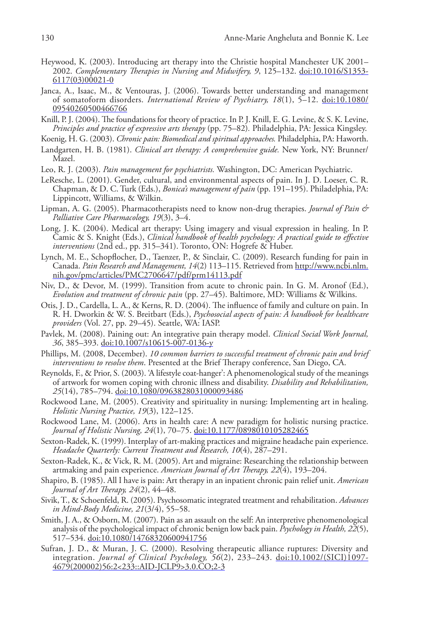- Heywood, K. (2003). Introducing art therapy into the Christie hospital Manchester UK 2001– 2002. *Complementary Therapies in Nursing and Midwifery, 9*, 125–132. doi:10.1016/S1353- 6117(03)00021-0
- Janca, A., Isaac, M., & Ventouras, J. (2006). Towards better understanding and management of somatoform disorders. *International Review of Psychiatry, 18*(1), 5–12. doi:10.1080/ 09540260500466766
- Knill, P. J. (2004). The foundations for theory of practice. In P. J. Knill, E. G. Levine, & S. K. Levine, *Principles and practice of expressive arts therapy* (pp. 75–82)*.* Philadelphia, PA: Jessica Kingsley.

Koenig, H. G. (2003). *Chronic pain: Biomedical and spiritual approaches.* Philadelphia, PA: Haworth.

- Landgarten, H. B. (1981). *Clinical art therapy: A comprehensive guide.* New York, NY: Brunner/ Mazel.
- Leo, R. J. (2003). *Pain management for psychiatrists.* Washington, DC: American Psychiatric.
- LeResche, L. (2001). Gender, cultural, and environmental aspects of pain. In J. D. Loeser, C. R. Chapman, & D. C. Turk (Eds.), *Bonica's management of pain* (pp. 191–195). Philadelphia, PA: Lippincott, Williams, & Wilkin.
- Lipman, A. G. (2005). Pharmacotherapists need to know non-drug therapies. *Journal of Pain & Palliative Care Pharmacology, 19*(3), 3–4.
- Long, J. K. (2004). Medical art therapy: Using imagery and visual expression in healing. In P. Camic & S. Knight (Eds.), *Clinical handbook of health psychology: A practical guide to effective interventions* (2nd ed., pp. 315–341). Toronto, ON: Hogrefe & Huber.
- Lynch, M. E., Schopflocher, D., Taenzer, P., & Sinclair, C. (2009). Research funding for pain in Canada. *Pain Research and Management, 14*(2) 113–115. Retrieved from http://www.ncbi.nlm. nih.gov/pmc/articles/PMC2706647/pdf/prm14113.pdf
- Niv, D., & Devor, M. (1999). Transition from acute to chronic pain. In G. M. Aronof (Ed.), *Evolution and treatment of chronic pain* (pp. 27–45). Baltimore, MD: Williams & Wilkins.
- Otis, J. D., Cardella, L. A., & Kerns, R. D. (2004). The influence of family and culture on pain. In R. H. Dworkin & W. S. Breitbart (Eds.), *Psychosocial aspects of pain: A handbook for healthcare providers* (Vol. 27, pp. 29–45). Seattle, WA: IASP.
- Pavlek, M. (2008). Paining out: An integrative pain therapy model. *Clinical Social Work Journal, 36*, 385–393. doi:10.1007/s10615-007-0136-y
- Phillips, M. (2008, December). *10 common barriers to successful treatment of chronic pain and brief interventions to resolve them*. Presented at the Brief Therapy conference, San Diego, CA.
- Reynolds, F., & Prior, S. (2003). 'A lifestyle coat-hanger': A phenomenological study of the meanings of artwork for women coping with chronic illness and disability. *Disability and Rehabilitation, 25*(14), 785–794. doi:10.1080/0963828031000093486
- Rockwood Lane, M. (2005). Creativity and spirituality in nursing: Implementing art in healing. *Holistic Nursing Practice, 19*(3), 122–125.
- Rockwood Lane, M. (2006). Arts in health care: A new paradigm for holistic nursing practice. *Journal of Holistic Nursing, 24*(1), 70–75. doi:10.1177/0898010105282465
- Sexton-Radek, K. (1999). Interplay of art-making practices and migraine headache pain experience. *Headache Quarterly: Current Treatment and Research, 10*(4), 287–291.
- Sexton-Radek, K., & Vick, R. M. (2005). Art and migraine: Researching the relationship between artmaking and pain experience. *American Journal of Art Therapy, 22*(4), 193–204.
- Shapiro, B. (1985). All I have is pain: Art therapy in an inpatient chronic pain relief unit. *American Journal of Art Therapy, 24*(2), 44–48.
- Sivik, T., & Schoenfeld, R. (2005). Psychosomatic integrated treatment and rehabilitation. *Advances in Mind-Body Medicine, 21*(3/4), 55–58.
- Smith, J. A., & Osborn, M. (2007). Pain as an assault on the self: An interpretive phenomenological analysis of the psychological impact of chronic benign low back pain. *Psychology in Health, 22*(5), 517-534. doi:10.1080/14768320600941756
- Sufran, J. D., & Muran, J. C. (2000). Resolving therapeutic alliance ruptures: Diversity and integration. *Journal of Clinical Psychology, 56*(2), 233–243. doi:10.1002/(SICI)1097- 4679(200002)56:2<233::AID-JCLP9>3.0.CO;2-3